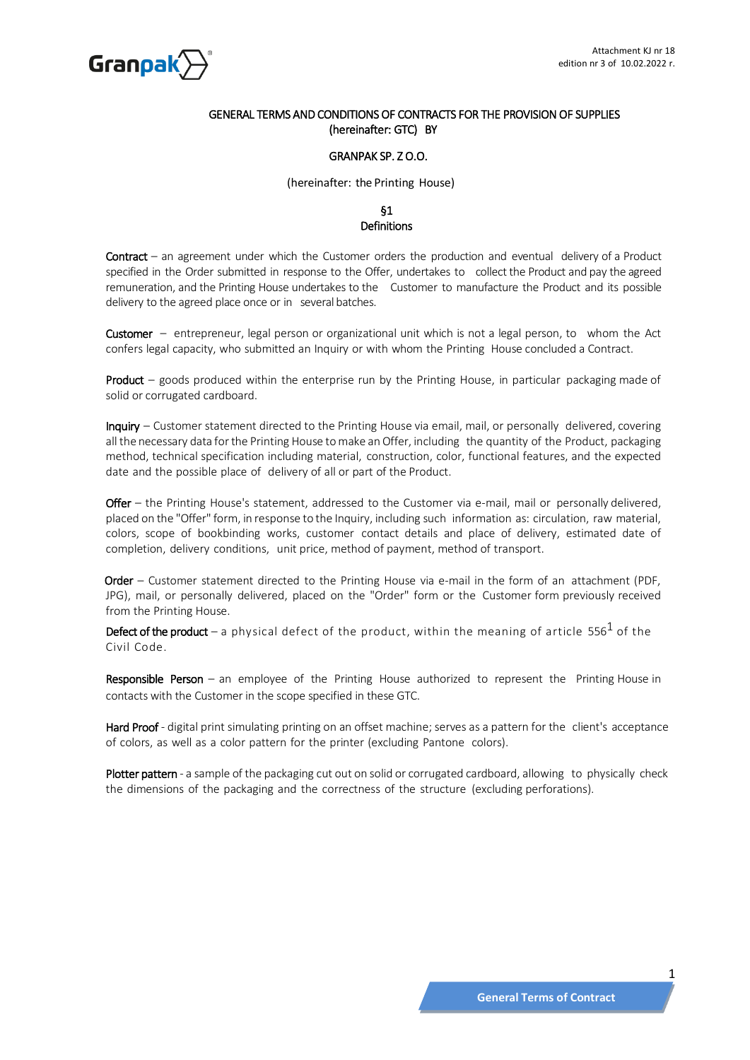

### GENERAL TERMS AND CONDITIONS OF CONTRACTS FOR THE PROVISION OF SUPPLIES (hereinafter: GTC) BY

### GRANPAK SP. Z O.O.

### (hereinafter: the Printing House)

### §1 **Definitions**

Contract – an agreement under which the Customer orders the production and eventual delivery of a Product specified in the Order submitted in response to the Offer, undertakes to collect the Product and pay the agreed remuneration, and the Printing House undertakes to the Customer to manufacture the Product and its possible delivery to the agreed place once or in several batches.

Customer – entrepreneur, legal person or organizational unit which is not a legal person, to whom the Act confers legal capacity, who submitted an Inquiry or with whom the Printing House concluded a Contract.

Product – goods produced within the enterprise run by the Printing House, in particular packaging made of solid or corrugated cardboard.

Inquiry – Customer statement directed to the Printing House via email, mail, or personally delivered, covering allthe necessary data forthe Printing House tomake an Offer, including the quantity of the Product, packaging method, technical specification including material, construction, color, functional features, and the expected date and the possible place of delivery of all or part of the Product.

Offer – the Printing House's statement, addressed to the Customer via e-mail, mail or personally delivered, placed on the "Offer"form, in response to the Inquiry, including such information as: circulation, raw material, colors, scope of bookbinding works, customer contact details and place of delivery, estimated date of completion, delivery conditions, unit price, method of payment, method of transport.

Order - Customer statement directed to the Printing House via e-mail in the form of an attachment (PDF, JPG), mail, or personally delivered, placed on the "Order" form or the Customer form previously received from the Printing House.

**Defect of the product** — a physical defect of the product, within the meaning of article 556 $^1$  of the Civil Code.

Responsible Person – an employee of the Printing House authorized to represent the Printing House in contacts with the Customer in the scope specified in these GTC.

Hard Proof - digital print simulating printing on an offset machine; serves as a pattern for the client's acceptance of colors, as well as a color pattern for the printer (excluding Pantone colors).

Plotter pattern - a sample of the packaging cut out on solid or corrugated cardboard, allowing to physically check the dimensions of the packaging and the correctness of the structure (excluding perforations).

1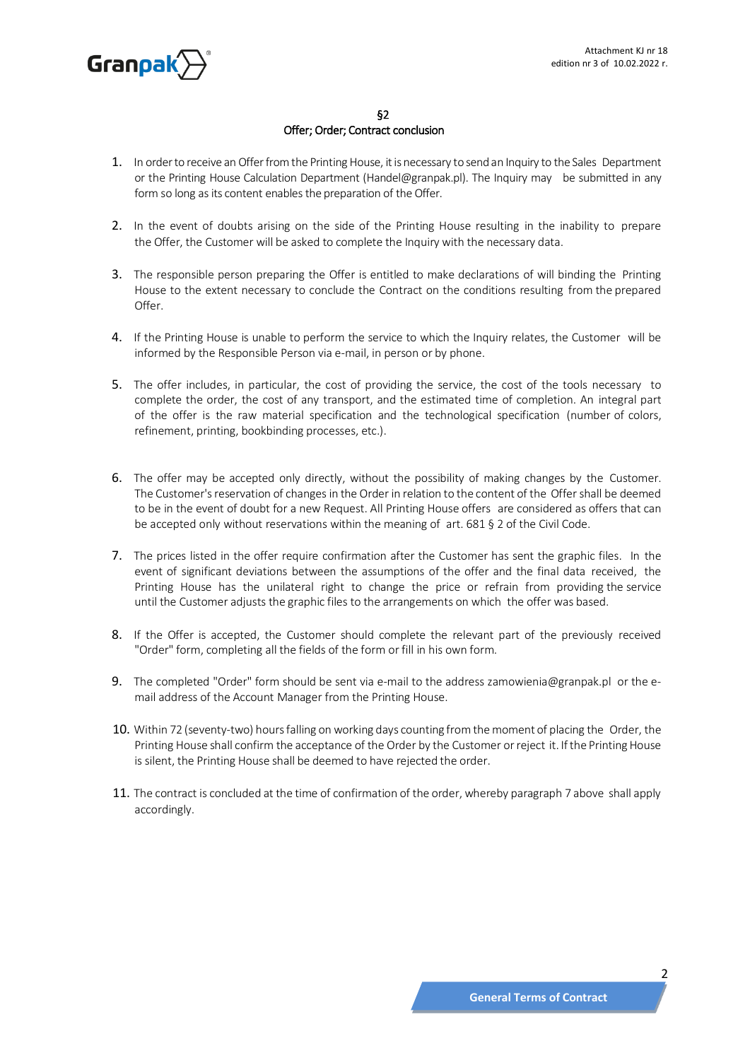

# §2 Offer; Order; Contract conclusion

- 1. In order to receive an Offer from the Printing House, it is necessary to send an Inquiry to the Sales Department or the Printing House Calculation Department (Handel@granpak.pl). The Inquiry may be submitted in any form so long as its content enables the preparation of the Offer.
- 2. In the event of doubts arising on the side of the Printing House resulting in the inability to prepare the Offer, the Customer will be asked to complete the Inquiry with the necessary data.
- 3. The responsible person preparing the Offer is entitled to make declarations of will binding the Printing House to the extent necessary to conclude the Contract on the conditions resulting from the prepared  $Offer$
- 4. If the Printing House is unable to perform the service to which the Inquiry relates, the Customer will be informed by the Responsible Person via e-mail, in person or by phone.
- 5. The offer includes, in particular, the cost of providing the service, the cost of the tools necessary to complete the order, the cost of any transport, and the estimated time of completion. An integral part of the offer is the raw material specification and the technological specification (number of colors, refinement, printing, bookbinding processes, etc.).
- 6. The offer may be accepted only directly, without the possibility of making changes by the Customer. The Customer's reservation of changes in the Order in relation to the content of the Offer shall be deemed to be in the event of doubt for a new Request. All Printing House offers are considered as offers that can be accepted only without reservations within the meaning of art. 681 § 2 of the Civil Code.
- 7. The prices listed in the offer require confirmation after the Customer has sent the graphic files. In the event of significant deviations between the assumptions of the offer and the final data received, the Printing House has the unilateral right to change the price or refrain from providing the service until the Customer adjusts the graphic files to the arrangements on which the offer was based.
- 8. If the Offer is accepted, the Customer should complete the relevant part of the previously received "Order" form, completing all the fields of the form or fill in his own form.
- 9. The completed "Order" form should be sent via e-mail to the address [zamowienia@granpak.pl](mailto:zamowienia@granpak.pl) or the email address of the Account Manager from the Printing House.
- 10. Within 72 (seventy-two) hours falling on working days counting from the moment of placing the Order, the Printing House shall confirm the acceptance of the Order by the Customer or reject it. If the Printing House is silent, the Printing House shall be deemed to have rejected the order.
- 11. The contract is concluded at the time of confirmation of the order, whereby paragraph 7 above shall apply accordingly.

2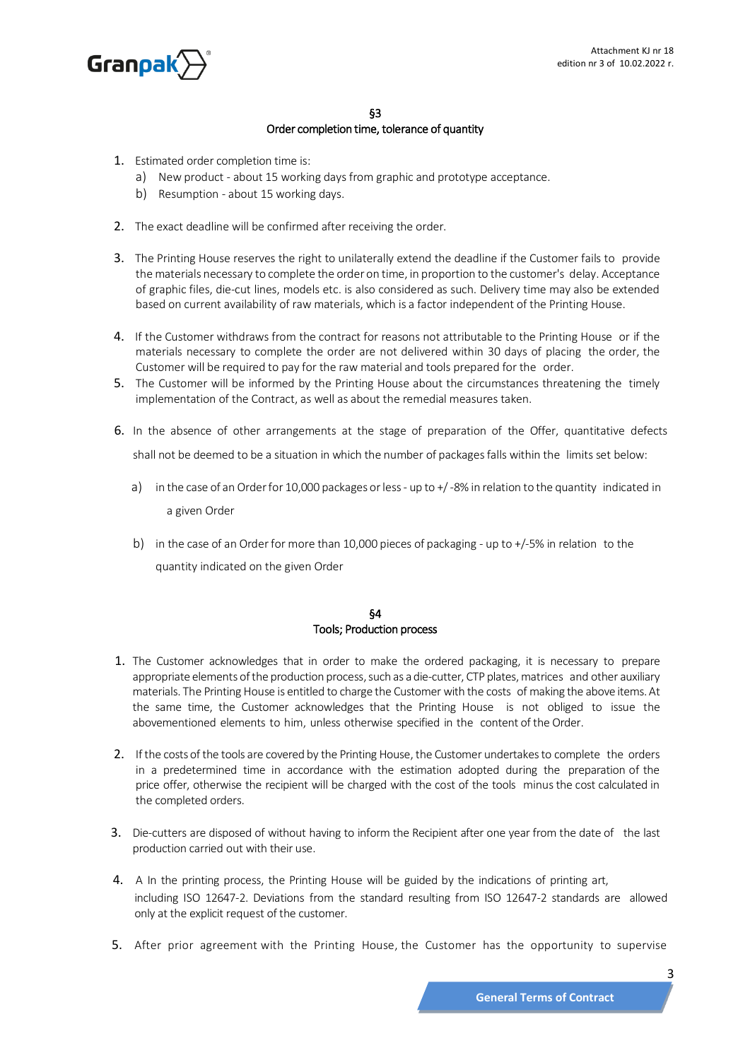

# §3

### Order completion time, tolerance of quantity

- 1. Estimated order completion time is:
	- a) New product about 15 working days from graphic and prototype acceptance.
	- b) Resumption about 15 working days.
- 2. The exact deadline will be confirmed after receiving the order.
- 3. The Printing House reserves the right to unilaterally extend the deadline if the Customer fails to provide the materials necessary to complete the order on time, in proportion to the customer's delay. Acceptance of graphic files, die-cut lines, models etc. is also considered as such. Delivery time may also be extended based on current availability of raw materials, which is a factor independent of the Printing House.
- 4. If the Customer withdraws from the contract for reasons not attributable to the Printing House or if the materials necessary to complete the order are not delivered within 30 days of placing the order, the Customer will be required to pay for the raw material and tools prepared for the order.
- 5. The Customer will be informed by the Printing House about the circumstances threatening the timely implementation of the Contract, as well as about the remedial measures taken.
- 6. In the absence of other arrangements at the stage of preparation of the Offer, quantitative defects shall not be deemed to be a situation in which the number of packages falls within the limits set below:
	- a) in the case of an Order for 10,000 packages or less up to +/-8% in relation to the quantity indicated in a given Order
	- b) in the case of an Order for more than 10,000 pieces of packaging up to  $+/-5%$  in relation to the quantity indicated on the given Order

### §4 Tools; Production process

- 1. The Customer acknowledges that in order to make the ordered packaging, it is necessary to prepare appropriate elements of the production process, such as a die-cutter, CTP plates, matrices and other auxiliary materials. The Printing House is entitled to charge the Customer with the costs of making the above items.At the same time, the Customer acknowledges that the Printing House is not obliged to issue the abovementioned elements to him, unless otherwise specified in the content of the Order.
- 2. If the costs of the tools are covered by the Printing House, the Customer undertakes to complete the orders in a predetermined time in accordance with the estimation adopted during the preparation of the price offer, otherwise the recipient will be charged with the cost of the tools minusthe cost calculated in the completed orders.
- 3. Die-cutters are disposed of without having to inform the Recipient after one year from the date of the last production carried out with their use.
- 4. A In the printing process, the Printing House will be guided by the indications of printing art, including ISO 12647-2. Deviations from the standard resulting from ISO 12647-2 standards are allowed only at the explicit request of the customer.
- 5. After prior agreement with the Printing House, the Customer has the opportunity to supervise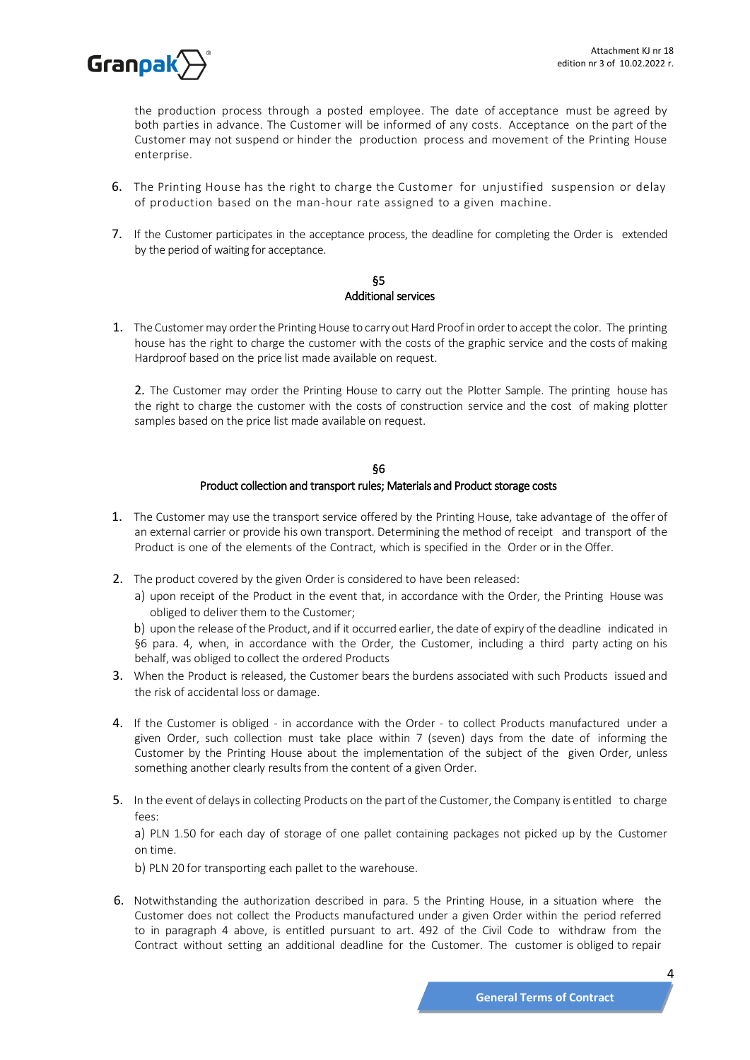

the production process through a posted employee. The date of acceptance must be agreed by both parties in advance. The Customer will be informed of any costs. Acceptance on the part of the Customer may not suspend or hinder the production process and movement of the Printing House enterprise.

- 6. The Printing House has the right to charge the Customer for unjustified suspension or delay of production based on the man-hour rate assigned to a given machine.
- 7. If the Customer participates in the acceptance process, the deadline for completing the Order is extended by the period of waiting for acceptance.

### §5 Additional services

1. The Customer may order the Printing House to carry out Hard Proof in order to accept the color. The printing house has the right to charge the customer with the costs of the graphic service and the costs of making Hardproof based on the price list made available on request.

2. The Customer may order the Printing House to carry out the Plotter Sample. The printing house has the right to charge the customer with the costs of construction service and the cost of making plotter samples based on the price list made available on request.

### §6 Product collection and transport rules; Materials and Product storage costs

- 1. The Customer may use the transport service offered by the Printing House, take advantage of the offer of an external carrier or provide his own transport. Determining the method of receipt and transport of the Product is one of the elements of the Contract, which is specified in the Order or in the Offer.
- 2. The product covered by the given Order is considered to have been released:
	- a) upon receipt of the Product in the event that, in accordance with the Order, the Printing House was obliged to deliver them to the Customer;

b) upon the release of the Product, and if it occurred earlier, the date of expiry of the deadline indicated in §6 para. 4, when, in accordance with the Order, the Customer, including a third party acting on his behalf, was obliged to collect the ordered Products

- 3. When the Product is released, the Customer bears the burdens associated with such Products issued and the risk of accidental loss or damage.
- 4. If the Customer is obliged in accordance with the Order to collect Products manufactured under a given Order, such collection must take place within 7 (seven) days from the date of informing the Customer by the Printing House about the implementation of the subject of the given Order, unless something another clearly results from the content of a given Order.
- 5. In the event of delays in collecting Products on the part of the Customer, the Company is entitled to charge fees:

a) PLN 1.50 for each day of storage of one pallet containing packages not picked up by the Customer on time.

b) PLN 20 for transporting each pallet to the warehouse.

6. Notwithstanding the authorization described in para. 5 the Printing House, in a situation where the Customer does not collect the Products manufactured under a given Order within the period referred to in paragraph 4 above, is entitled pursuant to art. 492 of the Civil Code to withdraw from the Contract without setting an additional deadline for the Customer. The customer is obliged to repair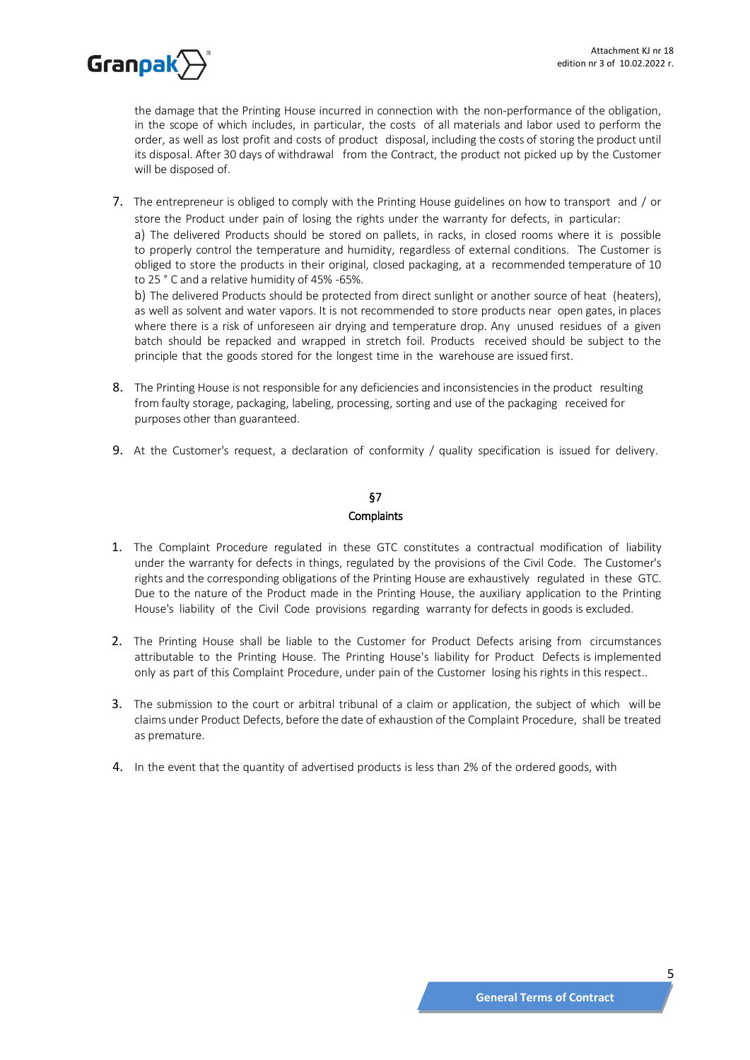

the damage that the Printing House incurred in connection with the non-performance of the obligation, in the scope of which includes, in particular, the costs of all materials and labor used to perform the order, as well as lost profit and costs of product disposal, including the costs of storing the product until its disposal. After 30 days of withdrawal from the Contract, the product not picked up by the Customer will be disposed of.

7. The entrepreneur is obliged to comply with the Printing House guidelines on how to transport and / or store the Product under pain of losing the rights under the warranty for defects, in particular:

a) The delivered Products should be stored on pallets, in racks, in closed rooms where it is possible to properly control the temperature and humidity, regardless of external conditions. The Customer is obliged to store the products in their original, closed packaging, at a recommended temperature of 10 to 25 ° C and a relative humidity of 45% -65%.

b) The delivered Products should be protected from direct sunlight or another source of heat (heaters), as well as solvent and water vapors. It is not recommended to store products near open gates, in places where there is a risk of unforeseen air drying and temperature drop. Any unused residues of a given batch should be repacked and wrapped in stretch foil. Products received should be subject to the principle that the goods stored for the longest time in the warehouse are issued first.

- 8. The Printing House is not responsible for any deficiencies and inconsistencies in the product resulting from faulty storage, packaging, labeling, processing, sorting and use of the packaging received for purposes other than guaranteed.
- 9. At the Customer's request, a declaration of conformity / quality specification is issued for delivery.

# §7 **Complaints**

- 1. The Complaint Procedure regulated in these GTC constitutes a contractual modification of liability under the warranty for defects in things, regulated by the provisions of the Civil Code. The Customer's rights and the corresponding obligations of the Printing House are exhaustively regulated in these GTC. Due to the nature of the Product made in the Printing House, the auxiliary application to the Printing House's liability of the Civil Code provisions regarding warranty for defects in goods is excluded.
- 2. The Printing House shall be liable to the Customer for Product Defects arising from circumstances attributable to the Printing House. The Printing House's liability for Product Defects is implemented only as part of this Complaint Procedure, under pain of the Customer losing his rights in this respect..
- 3. The submission to the court or arbitral tribunal of a claim or application, the subject of which will be claims under Product Defects, before the date of exhaustion of the Complaint Procedure, shall be treated as premature.
- 4. In the event that the quantity of advertised products is less than 2% of the ordered goods, with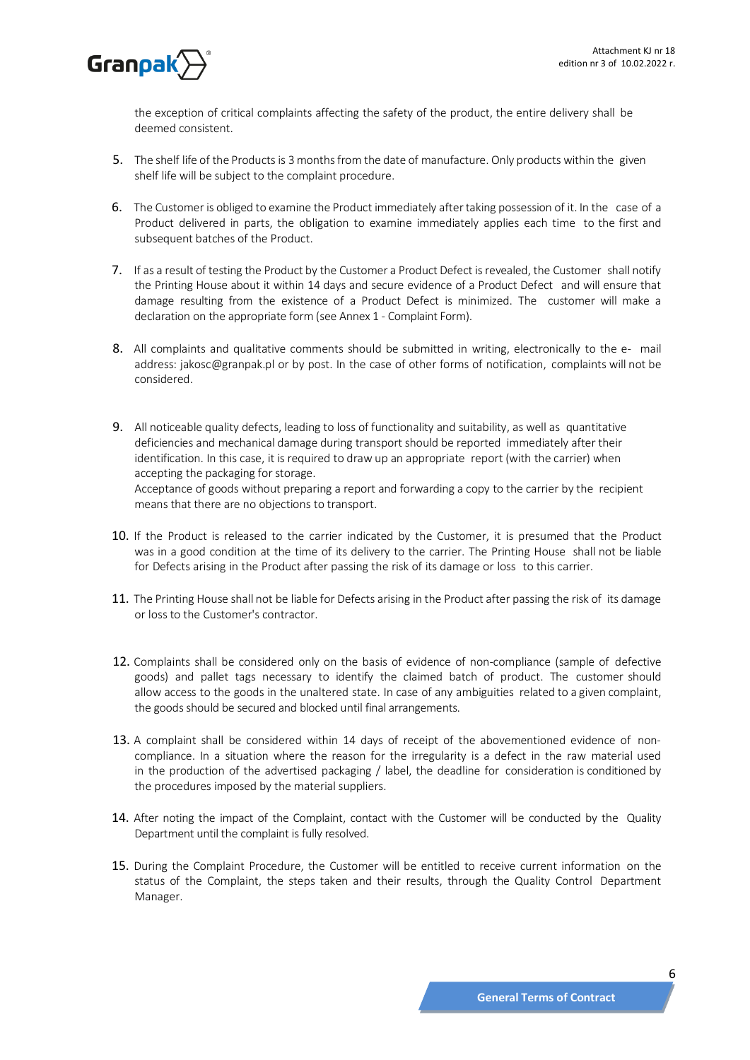

the exception of critical complaints affecting the safety of the product, the entire delivery shall be deemed consistent.

- 5. The shelf life of the Products is 3 months from the date of manufacture. Only products within the given shelf life will be subject to the complaint procedure.
- 6. The Customer is obliged to examine the Product immediately aftertaking possession of it. In the case of a Product delivered in parts, the obligation to examine immediately applies each time to the first and subsequent batches of the Product.
- 7. If as a result of testing the Product by the Customer a Product Defect is revealed, the Customer shall notify the Printing House about it within 14 days and secure evidence of a Product Defect and will ensure that damage resulting from the existence of a Product Defect is minimized. The customer will make a declaration on the appropriate form (see Annex 1 - Complaint Form).
- 8. All complaints and qualitative comments should be submitted in writing, electronically to the e- mail address: [jakosc@granpak.pl](mailto:jakosc@granpak.pl) or by post. In the case of other forms of notification, complaints will not be considered.
- 9. All noticeable quality defects, leading to loss of functionality and suitability, as well as quantitative deficiencies and mechanical damage during transport should be reported immediately after their identification. In this case, it is required to draw up an appropriate report (with the carrier) when accepting the packaging for storage. Acceptance of goods without preparing a report and forwarding a copy to the carrier by the recipient means that there are no objections to transport.
- 10. If the Product is released to the carrier indicated by the Customer, it is presumed that the Product was in a good condition at the time of its delivery to the carrier. The Printing House shall not be liable for Defects arising in the Product after passing the risk of its damage or loss to this carrier.
- 11. The Printing House shall not be liable for Defects arising in the Product after passing the risk of its damage or loss to the Customer's contractor.
- 12. Complaints shall be considered only on the basis of evidence of non-compliance (sample of defective goods) and pallet tags necessary to identify the claimed batch of product. The customer should allow access to the goods in the unaltered state. In case of any ambiguities related to a given complaint, the goods should be secured and blocked until final arrangements.
- 13. A complaint shall be considered within 14 days of receipt of the abovementioned evidence of noncompliance. In a situation where the reason for the irregularity is a defect in the raw material used in the production of the advertised packaging / label, the deadline for consideration is conditioned by the procedures imposed by the material suppliers.
- 14. After noting the impact of the Complaint, contact with the Customer will be conducted by the Quality Department until the complaint is fully resolved.
- 15. During the Complaint Procedure, the Customer will be entitled to receive current information on the status of the Complaint, the steps taken and their results, through the Quality Control Department Manager.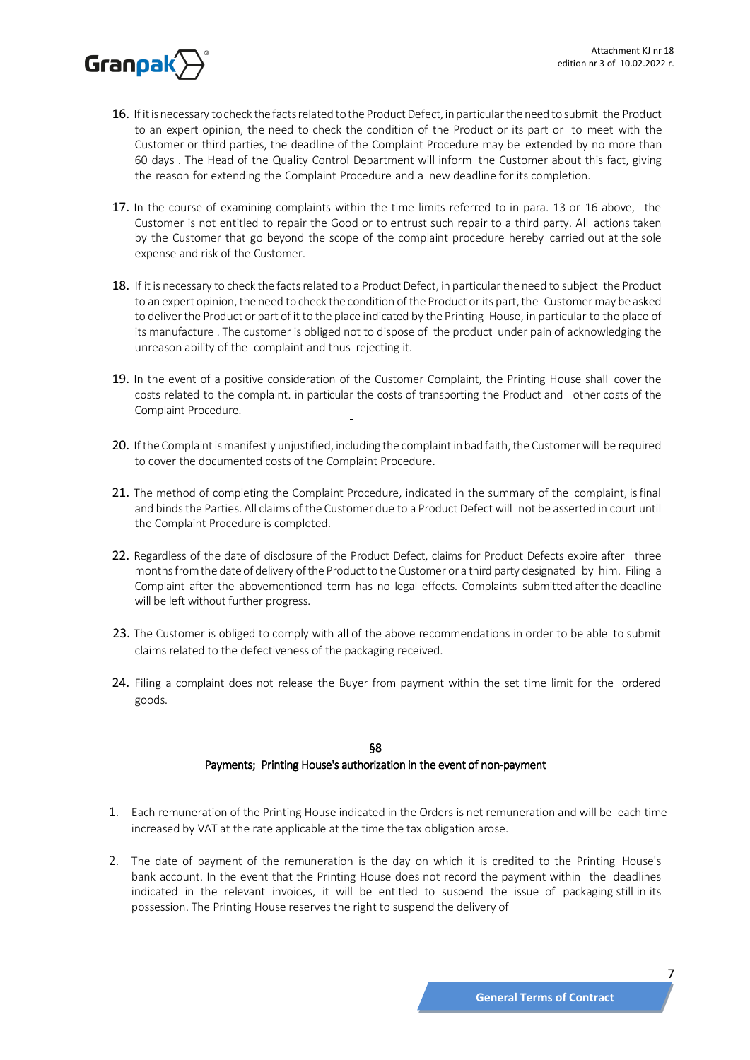

- 16. If it is necessary to check the facts related to the Product Defect, in particular the need to submit the Product to an expert opinion, the need to check the condition of the Product or its part or to meet with the Customer or third parties, the deadline of the Complaint Procedure may be extended by no more than 60 days . The Head of the Quality Control Department will inform the Customer about this fact, giving the reason for extending the Complaint Procedure and a new deadline for its completion.
- 17. In the course of examining complaints within the time limits referred to in para. 13 or 16 above, the Customer is not entitled to repair the Good or to entrust such repair to a third party. All actions taken by the Customer that go beyond the scope of the complaint procedure hereby carried out at the sole expense and risk of the Customer.
- 18. If it is necessary to check the facts related to a Product Defect, in particular the need to subject the Product to an expert opinion, the need to check the condition of the Product or its part, the Customer may be asked to deliverthe Product or part of it to the place indicated by the Printing House, in particular to the place of its manufacture . The customer is obliged not to dispose of the product under pain of acknowledging the unreason ability of the complaint and thus rejecting it.
- 19. In the event of a positive consideration of the Customer Complaint, the Printing House shall cover the costs related to the complaint. in particular the costs of transporting the Product and other costs of the Complaint Procedure.
- 20. If the Complaint is manifestly unjustified, including the complaint in bad faith, the Customer will be required to cover the documented costs of the Complaint Procedure.
- 21. The method of completing the Complaint Procedure, indicated in the summary of the complaint, is final and binds the Parties. All claims of the Customer due to a Product Defect will not be asserted in court until the Complaint Procedure is completed.
- 22. Regardless of the date of disclosure of the Product Defect, claims for Product Defects expire after three months from the date of delivery of the Product to the Customer or a third party designated by him. Filing a Complaint after the abovementioned term has no legal effects. Complaints submitted after the deadline will be left without further progress.
- 23. The Customer is obliged to comply with all of the above recommendations in order to be able to submit claims related to the defectiveness of the packaging received.
- 24. Filing a complaint does not release the Buyer from payment within the set time limit for the ordered goods.

# §8

# Payments; Printing House's authorization in the event of non-payment

- 1. Each remuneration of the Printing House indicated in the Orders is net remuneration and will be each time increased by VAT at the rate applicable at the time the tax obligation arose.
- 2. The date of payment of the remuneration is the day on which it is credited to the Printing House's bank account. In the event that the Printing House does not record the payment within the deadlines indicated in the relevant invoices, it will be entitled to suspend the issue of packaging still in its possession. The Printing House reservesthe right to suspend the delivery of

7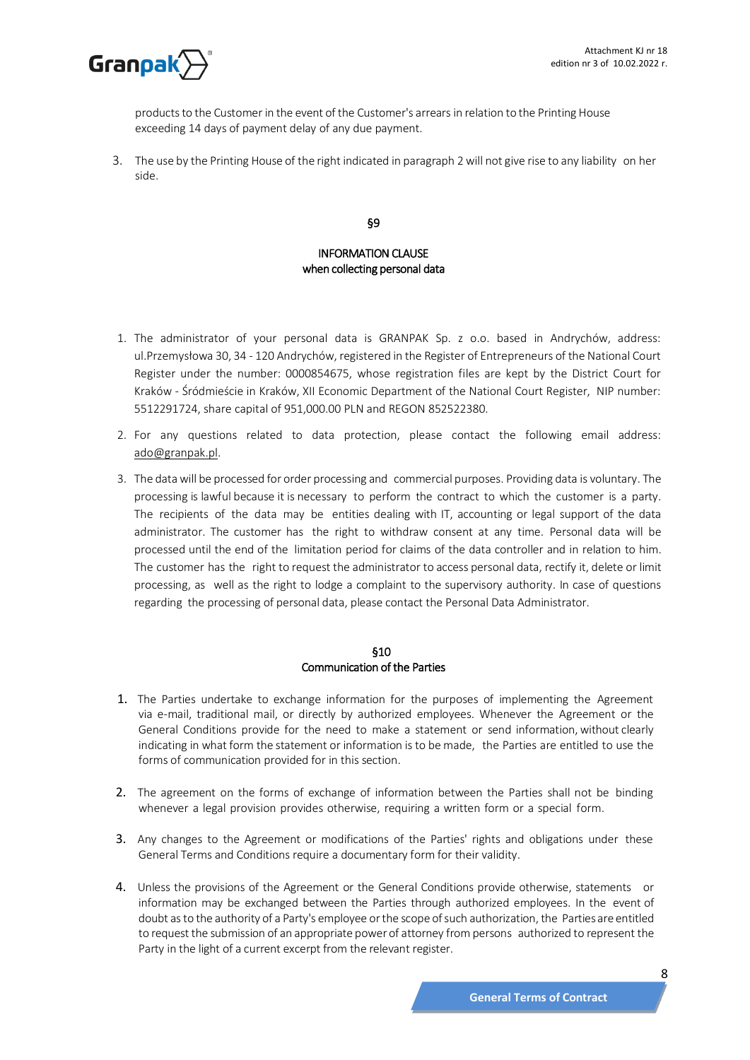

products to the Customer in the event of the Customer's arrears in relation to the Printing House exceeding 14 days of payment delay of any due payment.

3. The use by the Printing House of the right indicated in paragraph 2 will not give rise to any liability on her side.

§9

# INFORMATION CLAUSE when collecting personal data

- 1. The administrator of your personal data is GRANPAK Sp. z o.o. based in Andrychów, address: ul.Przemysłowa 30, 34 - 120 Andrychów, registered in the Register of Entrepreneurs of the National Court Register under the number: 0000854675, whose registration files are kept by the District Court for Kraków - Śródmieście in Kraków, XII Economic Department of the National Court Register, NIP number: 5512291724, share capital of 951,000.00 PLN and REGON 852522380.
- 2. For any questions related to data protection, please contact the following email address: ado@granpak.pl.
- 3. The datawill be processed for order processing and commercial purposes. Providing data is voluntary. The processing is lawful because it is necessary to perform the contract to which the customer is a party. The recipients of the data may be entities dealing with IT, accounting or legal support of the data administrator. The customer has the right to withdraw consent at any time. Personal data will be processed until the end of the limitation period for claims of the data controller and in relation to him. The customer has the right to request the administrator to access personal data, rectify it, delete or limit processing, as well as the right to lodge a complaint to the supervisory authority. In case of questions regarding the processing of personal data, please contact the Personal Data Administrator.

### §10 Communication of the Parties

- 1. The Parties undertake to exchange information for the purposes of implementing the Agreement via e-mail, traditional mail, or directly by authorized employees. Whenever the Agreement or the General Conditions provide for the need to make a statement or send information, without clearly indicating in what form the statement or information isto be made, the Parties are entitled to use the forms of communication provided for in this section.
- 2. The agreement on the forms of exchange of information between the Parties shall not be binding whenever a legal provision provides otherwise, requiring a written form or a special form.
- 3. Any changes to the Agreement or modifications of the Parties' rights and obligations under these General Terms and Conditions require a documentary form for their validity.
- 4. Unless the provisions of the Agreement or the General Conditions provide otherwise, statements or information may be exchanged between the Parties through authorized employees. In the event of doubt asto the authority of a Party's employee orthe scope of such authorization, the Partiesare entitled to request the submission of an appropriate power of attorney from persons authorized to represent the Party in the light of a current excerpt from the relevant register.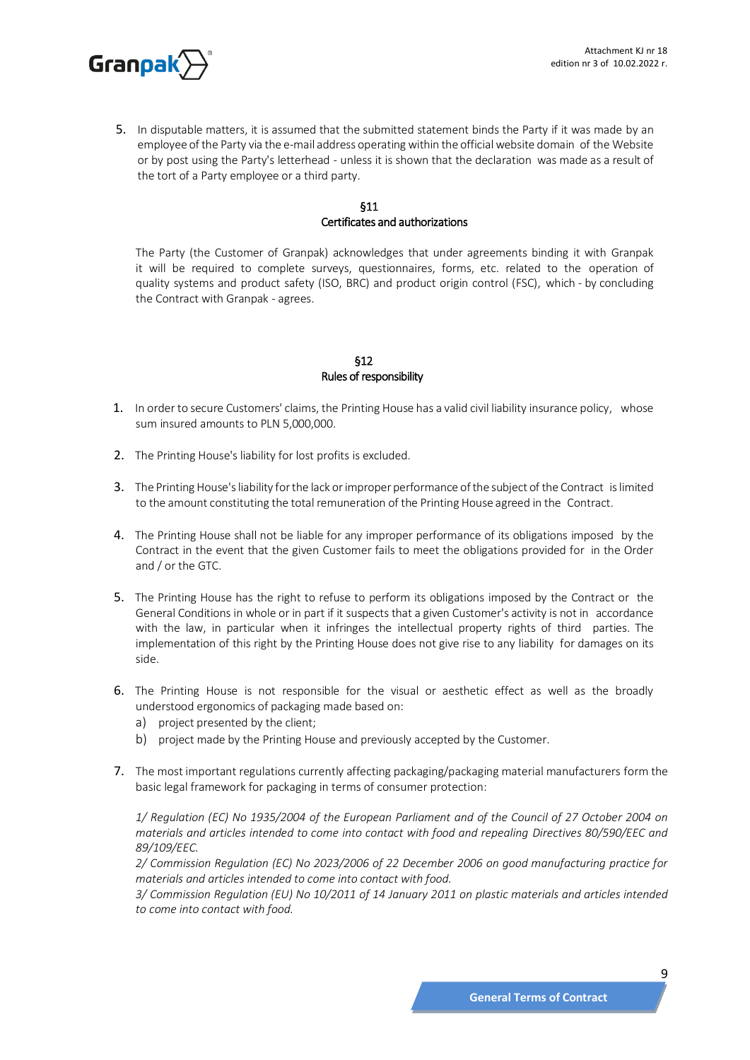

5. In disputable matters, it is assumed that the submitted statement binds the Party if it was made by an employee of the Party via the e-mail address operating within the officialwebsite domain of the Website or by post using the Party's letterhead - unless it is shown that the declaration was made as a result of the tort of a Party employee or a third party.

### §11 Certificates and authorizations

The Party (the Customer of Granpak) acknowledges that under agreements binding it with Granpak it will be required to complete surveys, questionnaires, forms, etc. related to the operation of quality systems and product safety (ISO, BRC) and product origin control (FSC), which - by concluding the Contract with Granpak - agrees.

# §12 Rules of responsibility

- 1. In order to secure Customers' claims, the Printing House has a valid civil liability insurance policy, whose sum insured amounts to PLN 5,000,000.
- 2. The Printing House's liability for lost profits is excluded.
- 3. The Printing House's liability for the lack or improper performance of the subject of the Contract is limited to the amount constituting the total remuneration of the Printing House agreed in the Contract.
- 4. The Printing House shall not be liable for any improper performance of its obligations imposed by the Contract in the event that the given Customer fails to meet the obligations provided for in the Order and / or the GTC.
- 5. The Printing House has the right to refuse to perform its obligations imposed by the Contract or the General Conditions in whole or in part if it suspects that a given Customer's activity is not in accordance with the law, in particular when it infringes the intellectual property rights of third parties. The implementation of this right by the Printing House does not give rise to any liability for damages on its side.
- 6. The Printing House is not responsible for the visual or aesthetic effect as well as the broadly understood ergonomics of packaging made based on:
	- a) project presented by the client;
	- b) project made by the Printing House and previously accepted by the Customer.
- 7. The most important regulations currently affecting packaging/packaging material manufacturers form the basic legal framework for packaging in terms of consumer protection:

*1/ Regulation (EC) No 1935/2004 of the European Parliament and of the Council of 27 October 2004 on materials and articles intended to come into contact with food and repealing Directives 80/590/EEC and 89/109/EEC.*

*2/ Commission Regulation (EC) No 2023/2006 of 22 December 2006 on good manufacturing practice for materials and articles intended to come into contact with food.*

*3/ Commission Regulation (EU) No 10/2011 of 14 January 2011 on plastic materials and articles intended to come into contact with food.*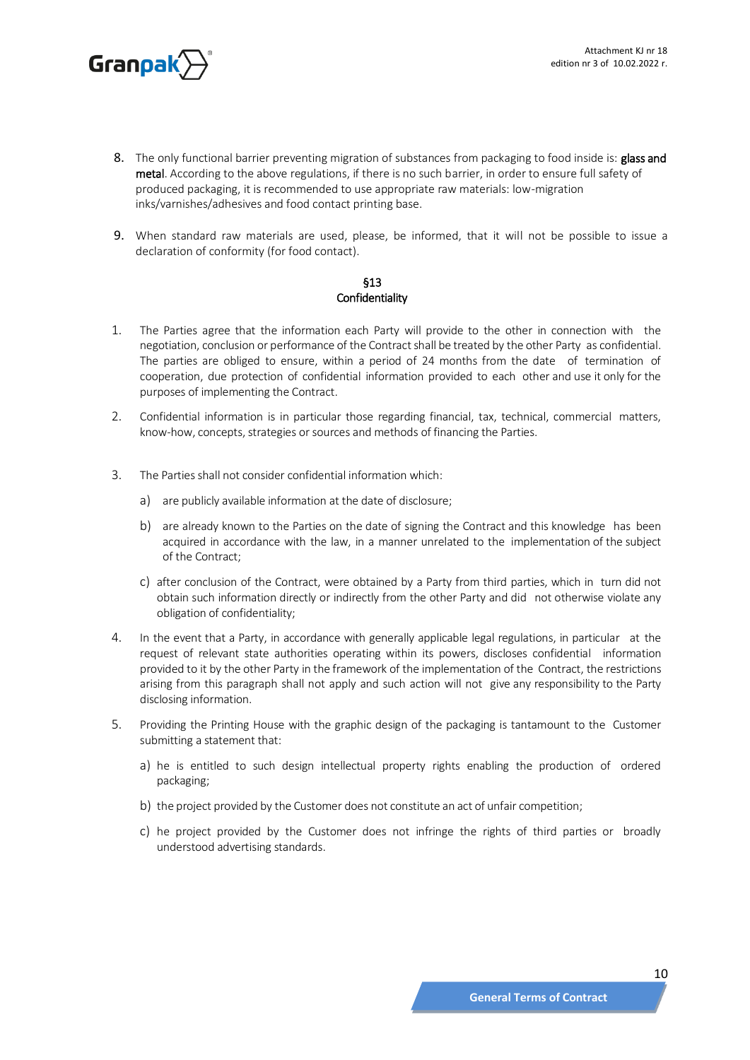

- 8. The only functional barrier preventing migration of substances from packaging to food inside is: glass and metal. According to the above regulations, if there is no such barrier, in order to ensure full safety of produced packaging, it is recommended to use appropriate raw materials: low-migration inks/varnishes/adhesives and food contact printing base.
- 9. When standard raw materials are used, please, be informed, that it will not be possible to issue a declaration of conformity (for food contact).

### §13 Confidentiality

- 1. The Parties agree that the information each Party will provide to the other in connection with the negotiation, conclusion or performance of the Contract shall be treated by the other Party as confidential. The parties are obliged to ensure, within a period of 24 months from the date of termination of cooperation, due protection of confidential information provided to each other and use it only for the purposes of implementing the Contract.
- 2. Confidential information is in particular those regarding financial, tax, technical, commercial matters, know-how, concepts, strategies or sources and methods of financing the Parties.
- 3. The Parties shall not consider confidential information which:
	- a) are publicly available information at the date of disclosure;
	- b) are already known to the Parties on the date of signing the Contract and this knowledge has been acquired in accordance with the law, in a manner unrelated to the implementation of the subject of the Contract;
	- c) after conclusion of the Contract, were obtained by a Party from third parties, which in turn did not obtain such information directly or indirectly from the other Party and did not otherwise violate any obligation of confidentiality;
- 4. In the event that a Party, in accordance with generally applicable legal regulations, in particular at the request of relevant state authorities operating within its powers, discloses confidential information provided to it by the other Party in the framework of the implementation of the Contract, the restrictions arising from this paragraph shall not apply and such action will not give any responsibility to the Party disclosing information.
- 5. Providing the Printing House with the graphic design of the packaging is tantamount to the Customer submitting a statement that:
	- a) he is entitled to such design intellectual property rights enabling the production of ordered packaging;
	- b) the project provided by the Customer does not constitute an act of unfair competition;
	- c) he project provided by the Customer does not infringe the rights of third parties or broadly understood advertising standards.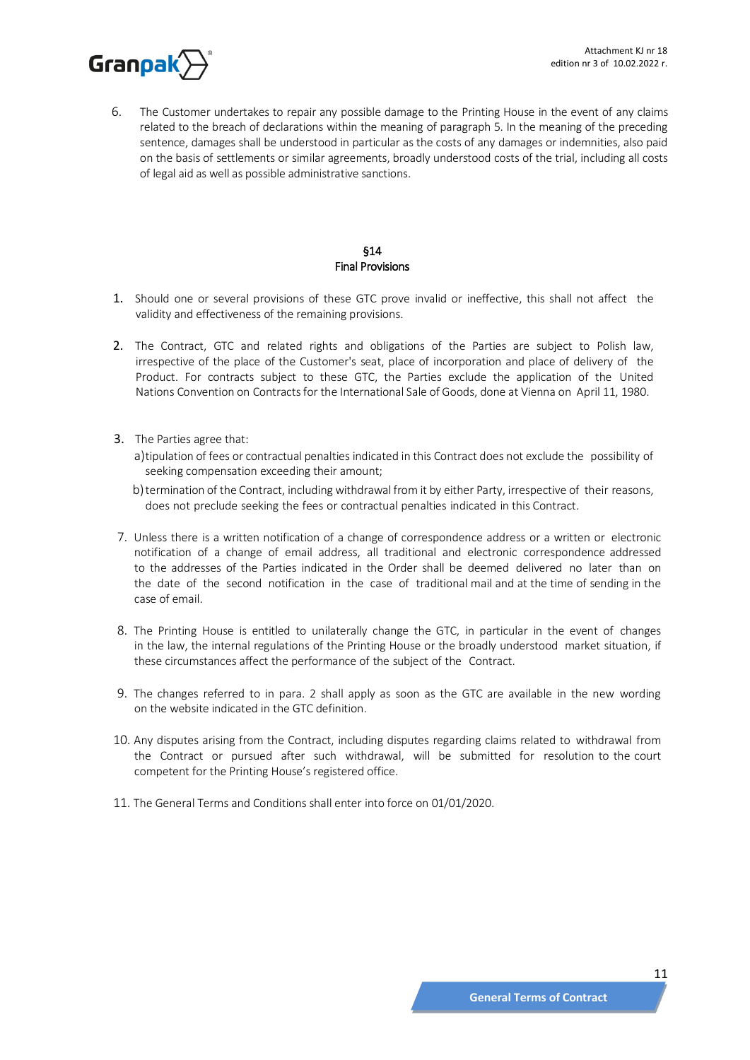

6. The Customer undertakes to repair any possible damage to the Printing House in the event of any claims related to the breach of declarations within the meaning of paragraph 5. In the meaning of the preceding sentence, damages shall be understood in particular as the costs of any damages or indemnities, also paid on the basis of settlements or similar agreements, broadly understood costs of the trial, including all costs of legal aid as well as possible administrative sanctions.

# §14 Final Provisions

- 1. Should one or several provisions of these GTC prove invalid or ineffective, this shall not affect the validity and effectiveness of the remaining provisions.
- 2. The Contract, GTC and related rights and obligations of the Parties are subject to Polish law, irrespective of the place of the Customer's seat, place of incorporation and place of delivery of the Product. For contracts subject to these GTC, the Parties exclude the application of the United Nations Convention on Contracts for the International Sale of Goods, done at Vienna on April 11, 1980.
- 3. The Parties agree that:
	- a)tipulation of fees or contractual penalties indicated in this Contract does not exclude the possibility of seeking compensation exceeding their amount;
	- b)termination of the Contract, including withdrawal from it by either Party, irrespective of their reasons, does not preclude seeking the fees or contractual penalties indicated in this Contract.
- 7. Unless there is a written notification of a change of correspondence address or a written or electronic notification of a change of email address, all traditional and electronic correspondence addressed to the addresses of the Parties indicated in the Order shall be deemed delivered no later than on the date of the second notification in the case of traditional mail and at the time of sending in the case of email.
- 8. The Printing House is entitled to unilaterally change the GTC, in particular in the event of changes in the law, the internal regulations of the Printing House or the broadly understood market situation, if these circumstances affect the performance of the subject of the Contract.
- 9. The changes referred to in para. 2 shall apply as soon as the GTC are available in the new wording on the website indicated in the GTC definition.
- 10. Any disputes arising from the Contract, including disputes regarding claims related to withdrawal from the Contract or pursued after such withdrawal, will be submitted for resolution to the court competent for the Printing House's registered office.
- 11. The General Terms and Conditions shall enter into force on 01/01/2020.